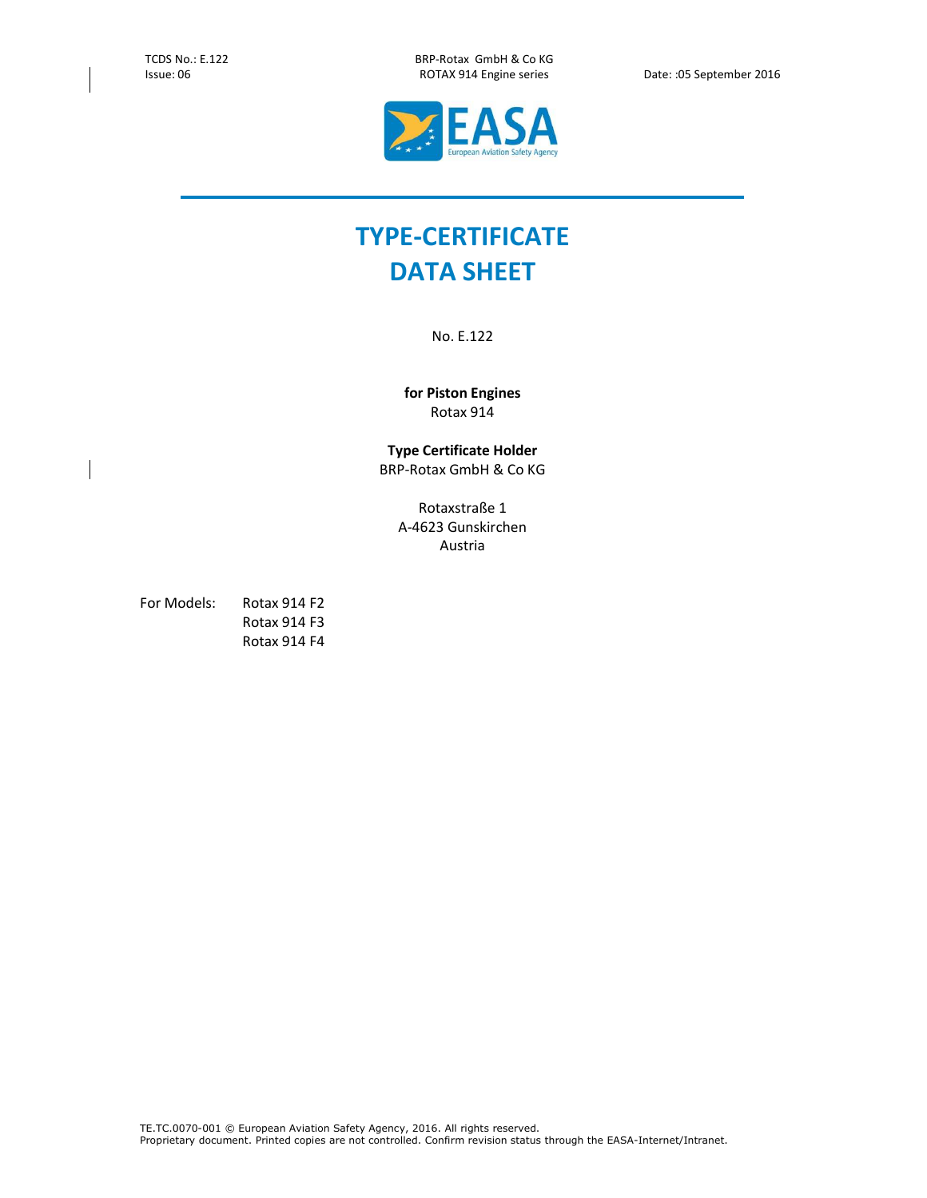TCDS No.: E.122 BRP-Rotax GmbH & Co KG



# **TYPE-CERTIFICATE DATA SHEET**

No. E.122

**for Piston Engines**  Rotax 914

**Type Certificate Holder**  BRP-Rotax GmbH & Co KG

Rotaxstraße 1 A-4623 Gunskirchen Austria

For Models: Rotax 914 F2 Rotax 914 F3 Rotax 914 F4

TE.TC.0070-001 © European Aviation Safety Agency, 2016. All rights reserved. Proprietary document. Printed copies are not controlled. Confirm revision status through the EASA-Internet/Intranet.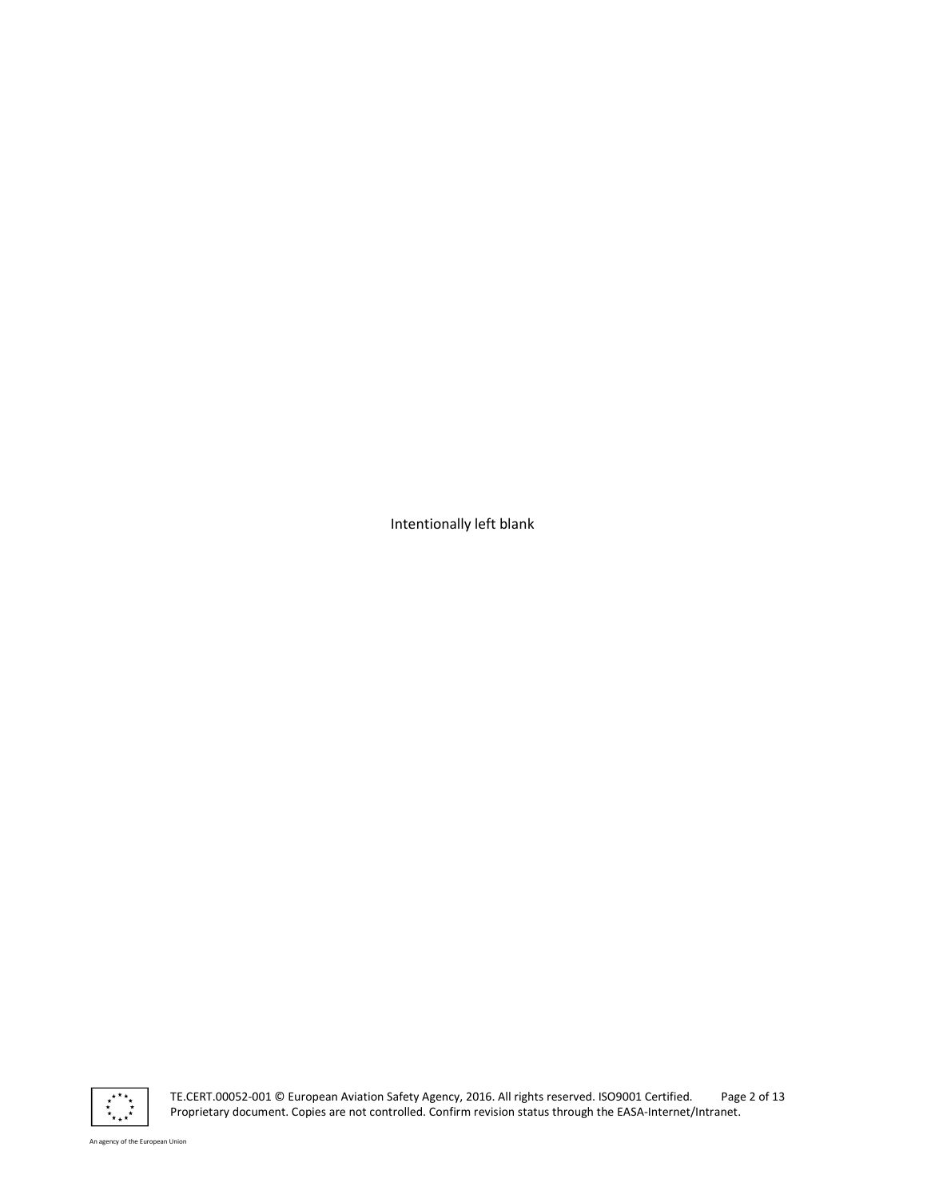Intentionally left blank



TE.CERT.00052-001 © European Aviation Safety Agency, 2016. All rights reserved. ISO9001 Certified. Page 2 of 13 Proprietary document. Copies are not controlled. Confirm revision status through the EASA-Internet/Intranet.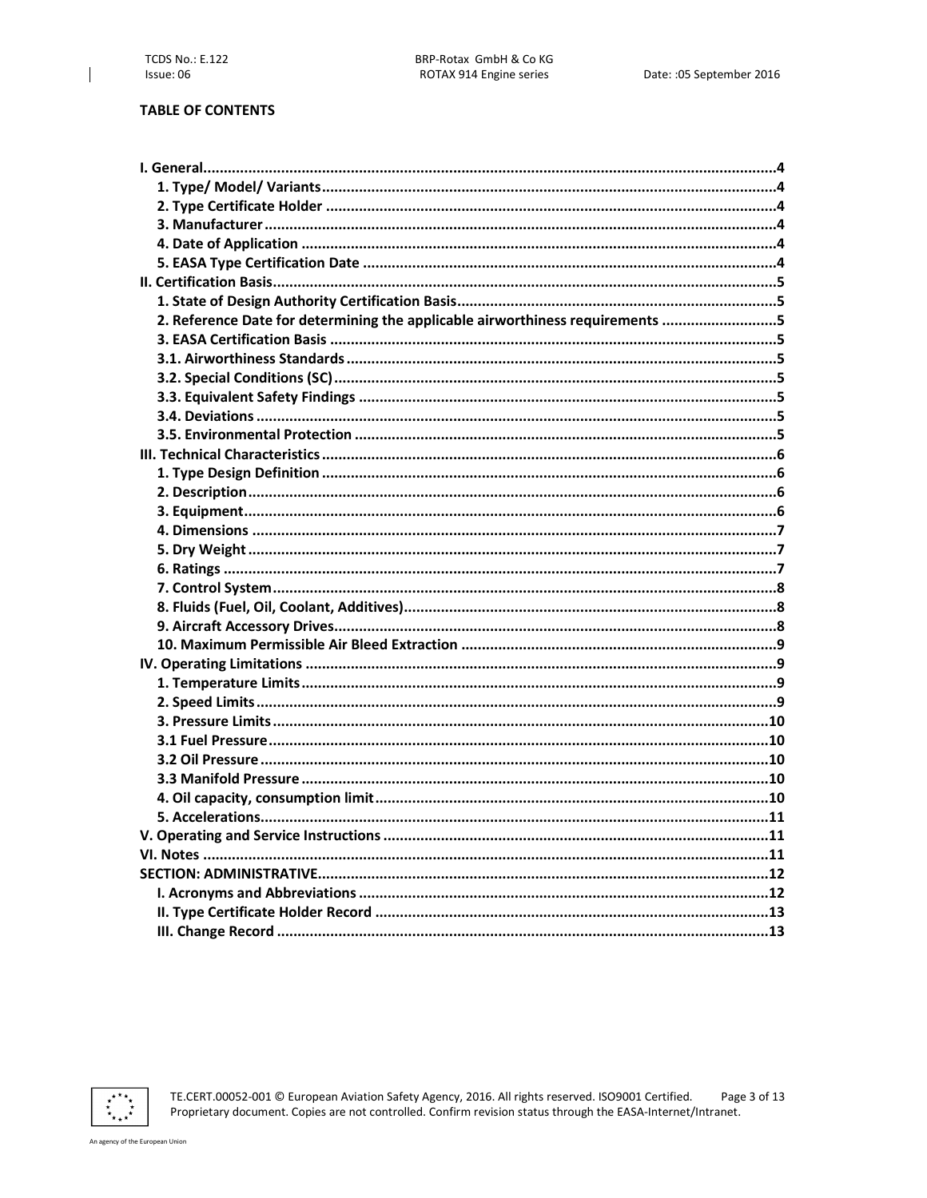$\mathsf{l}$ 

### **TABLE OF CONTENTS**

| 2. Reference Date for determining the applicable airworthiness requirements 5 |  |
|-------------------------------------------------------------------------------|--|
|                                                                               |  |
|                                                                               |  |
|                                                                               |  |
|                                                                               |  |
|                                                                               |  |
|                                                                               |  |
|                                                                               |  |
|                                                                               |  |
|                                                                               |  |
|                                                                               |  |
|                                                                               |  |
|                                                                               |  |
|                                                                               |  |
|                                                                               |  |
|                                                                               |  |
|                                                                               |  |
|                                                                               |  |
|                                                                               |  |
|                                                                               |  |
|                                                                               |  |
|                                                                               |  |
|                                                                               |  |
|                                                                               |  |
|                                                                               |  |
|                                                                               |  |
|                                                                               |  |
|                                                                               |  |
|                                                                               |  |
|                                                                               |  |
|                                                                               |  |
|                                                                               |  |
|                                                                               |  |

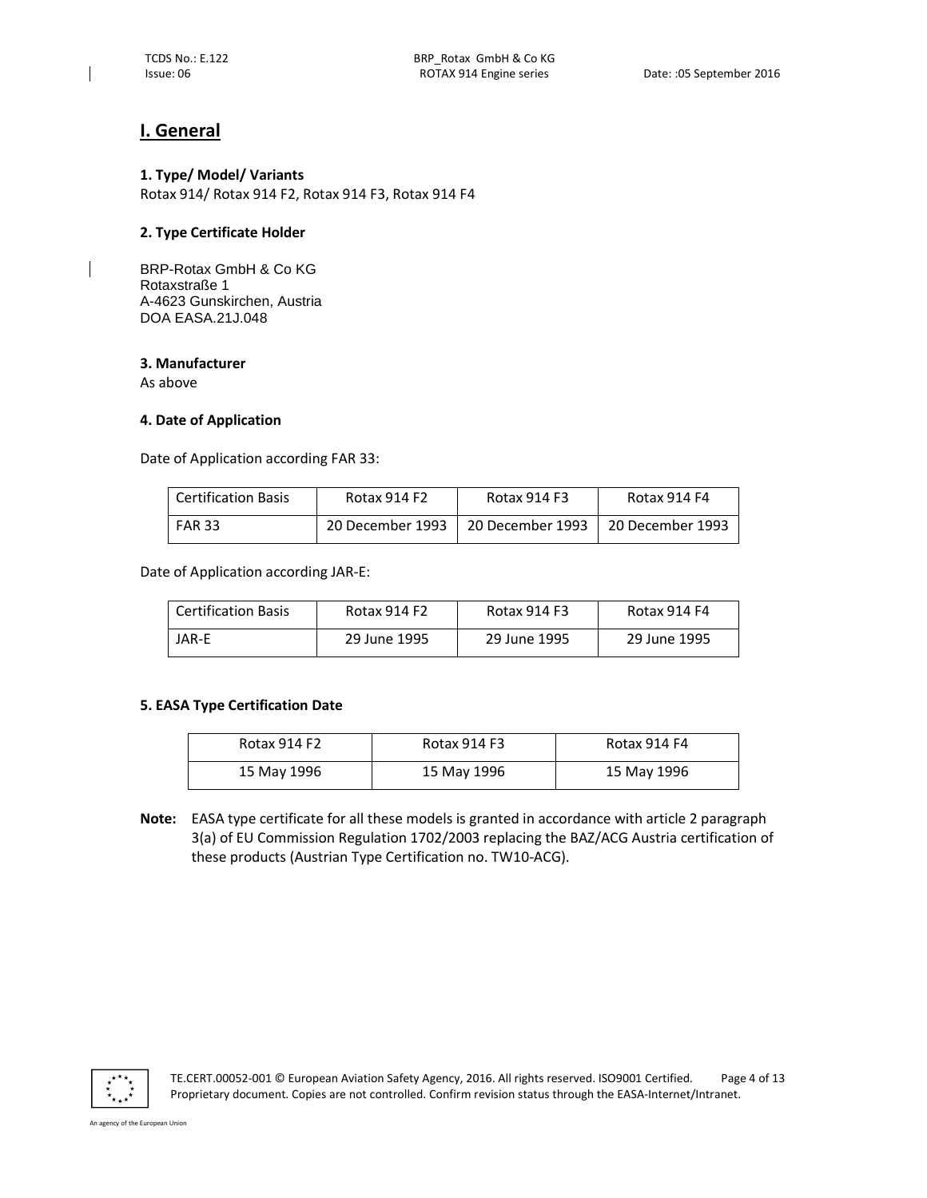# **I. General**

**1. Type/ Model/ Variants**  Rotax 914/ Rotax 914 F2, Rotax 914 F3, Rotax 914 F4

### **2. Type Certificate Holder**

BRP-Rotax GmbH & Co KG Rotaxstraße 1 A-4623 Gunskirchen, Austria DOA EASA.21J.048

### **3. Manufacturer**

As above

 $\overline{\phantom{a}}$ 

### **4. Date of Application**

Date of Application according FAR 33:

| Certification Basis | Rotax 914 F2     | Rotax 914 F3     | Rotax 914 F4     |
|---------------------|------------------|------------------|------------------|
| <b>FAR 33</b>       | 20 December 1993 | 20 December 1993 | 20 December 1993 |

Date of Application according JAR-E:

| L Certification Basis | Rotax 914 F2 | Rotax 914 F3 | Rotax 914 F4 |
|-----------------------|--------------|--------------|--------------|
| JAR-E                 | 29 June 1995 | 29 June 1995 | 29 June 1995 |

### **5. EASA Type Certification Date**

| Rotax 914 F2 | Rotax 914 F3 | Rotax 914 F4 |
|--------------|--------------|--------------|
| 15 May 1996  | 15 May 1996  | 15 May 1996  |

**Note:** EASA type certificate for all these models is granted in accordance with article 2 paragraph 3(a) of EU Commission Regulation 1702/2003 replacing the BAZ/ACG Austria certification of these products (Austrian Type Certification no. TW10-ACG).



TE.CERT.00052-001 © European Aviation Safety Agency, 2016. All rights reserved. ISO9001 Certified. Page 4 of 13 Proprietary document. Copies are not controlled. Confirm revision status through the EASA-Internet/Intranet.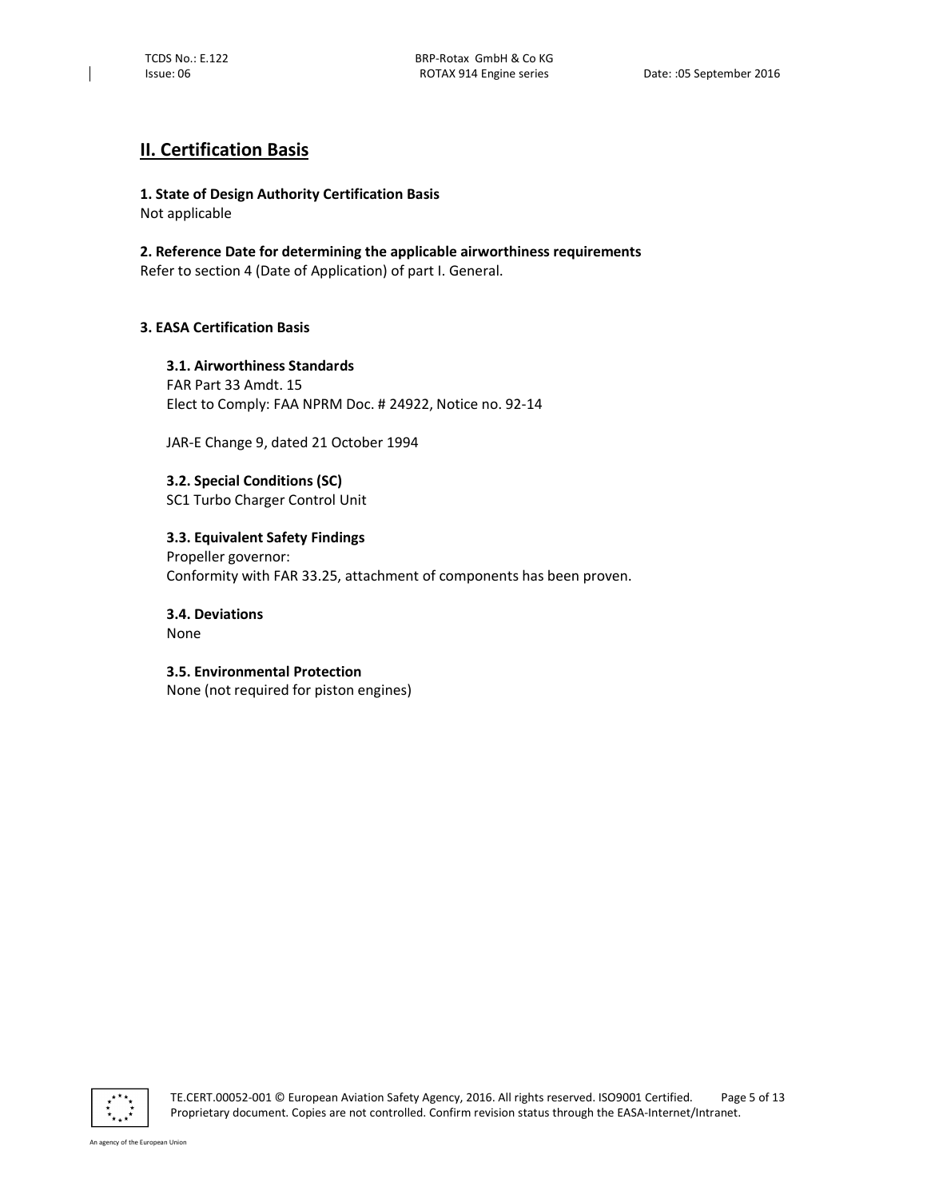# **II. Certification Basis**

**1. State of Design Authority Certification Basis**  Not applicable

**2. Reference Date for determining the applicable airworthiness requirements**  Refer to section 4 (Date of Application) of part I. General.

### **3. EASA Certification Basis**

**3.1. Airworthiness Standards**  FAR Part 33 Amdt. 15 Elect to Comply: FAA NPRM Doc. # 24922, Notice no. 92-14

JAR-E Change 9, dated 21 October 1994

**3.2. Special Conditions (SC)**  SC1 Turbo Charger Control Unit

**3.3. Equivalent Safety Findings**  Propeller governor: Conformity with FAR 33.25, attachment of components has been proven.

**3.4. Deviations** 

None

**3.5. Environmental Protection** 

None (not required for piston engines)



TE.CERT.00052-001 © European Aviation Safety Agency, 2016. All rights reserved. ISO9001 Certified. Page 5 of 13 Proprietary document. Copies are not controlled. Confirm revision status through the EASA-Internet/Intranet.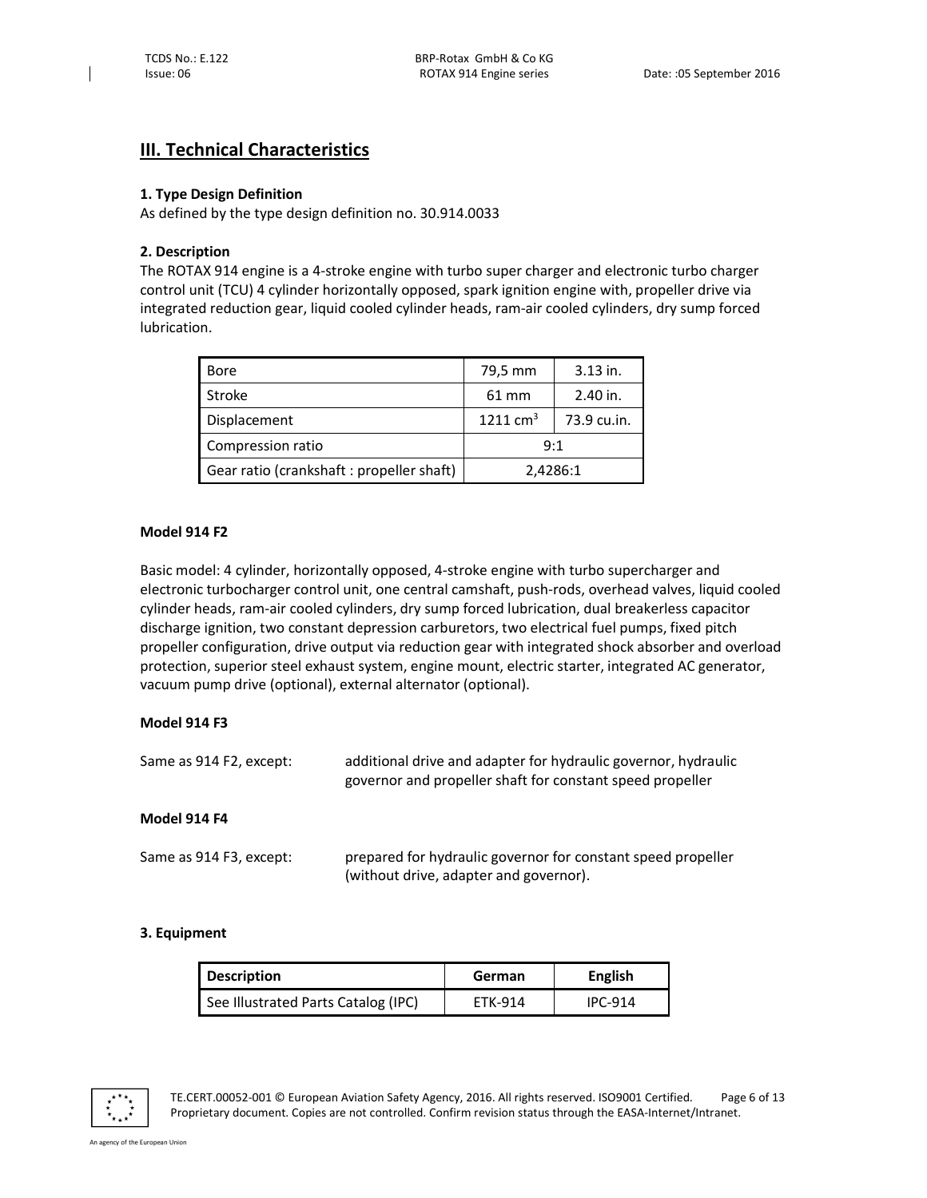# **III. Technical Characteristics**

### **1. Type Design Definition**

As defined by the type design definition no. 30.914.0033

### **2. Description**

The ROTAX 914 engine is a 4-stroke engine with turbo super charger and electronic turbo charger control unit (TCU) 4 cylinder horizontally opposed, spark ignition engine with, propeller drive via integrated reduction gear, liquid cooled cylinder heads, ram-air cooled cylinders, dry sump forced lubrication.

| <b>Bore</b>                               | 79,5 mm                   | $3.13$ in. |  |
|-------------------------------------------|---------------------------|------------|--|
| Stroke                                    | 61 mm<br>2.40 in.         |            |  |
| Displacement                              | 1211 $cm3$<br>73.9 cu.in. |            |  |
| Compression ratio                         | 9:1                       |            |  |
| Gear ratio (crankshaft : propeller shaft) | 2,4286:1                  |            |  |

### **Model 914 F2**

Basic model: 4 cylinder, horizontally opposed, 4-stroke engine with turbo supercharger and electronic turbocharger control unit, one central camshaft, push-rods, overhead valves, liquid cooled cylinder heads, ram-air cooled cylinders, dry sump forced lubrication, dual breakerless capacitor discharge ignition, two constant depression carburetors, two electrical fuel pumps, fixed pitch propeller configuration, drive output via reduction gear with integrated shock absorber and overload protection, superior steel exhaust system, engine mount, electric starter, integrated AC generator, vacuum pump drive (optional), external alternator (optional).

### **Model 914 F3**

| Same as 914 F2, except: | additional drive and adapter for hydraulic governor, hydraulic<br>governor and propeller shaft for constant speed propeller |  |  |
|-------------------------|-----------------------------------------------------------------------------------------------------------------------------|--|--|
| <b>Model 914 F4</b>     |                                                                                                                             |  |  |
| Same as 914 F3, except: | prepared for hydraulic governor for constant speed propeller<br>(without drive, adapter and governor).                      |  |  |

### **3. Equipment**

| <b>Description</b>                  | German  | English   |
|-------------------------------------|---------|-----------|
| See Illustrated Parts Catalog (IPC) | ETK-914 | $IPC-914$ |



TE.CERT.00052-001 © European Aviation Safety Agency, 2016. All rights reserved. ISO9001 Certified. Page 6 of 13 Proprietary document. Copies are not controlled. Confirm revision status through the EASA-Internet/Intranet.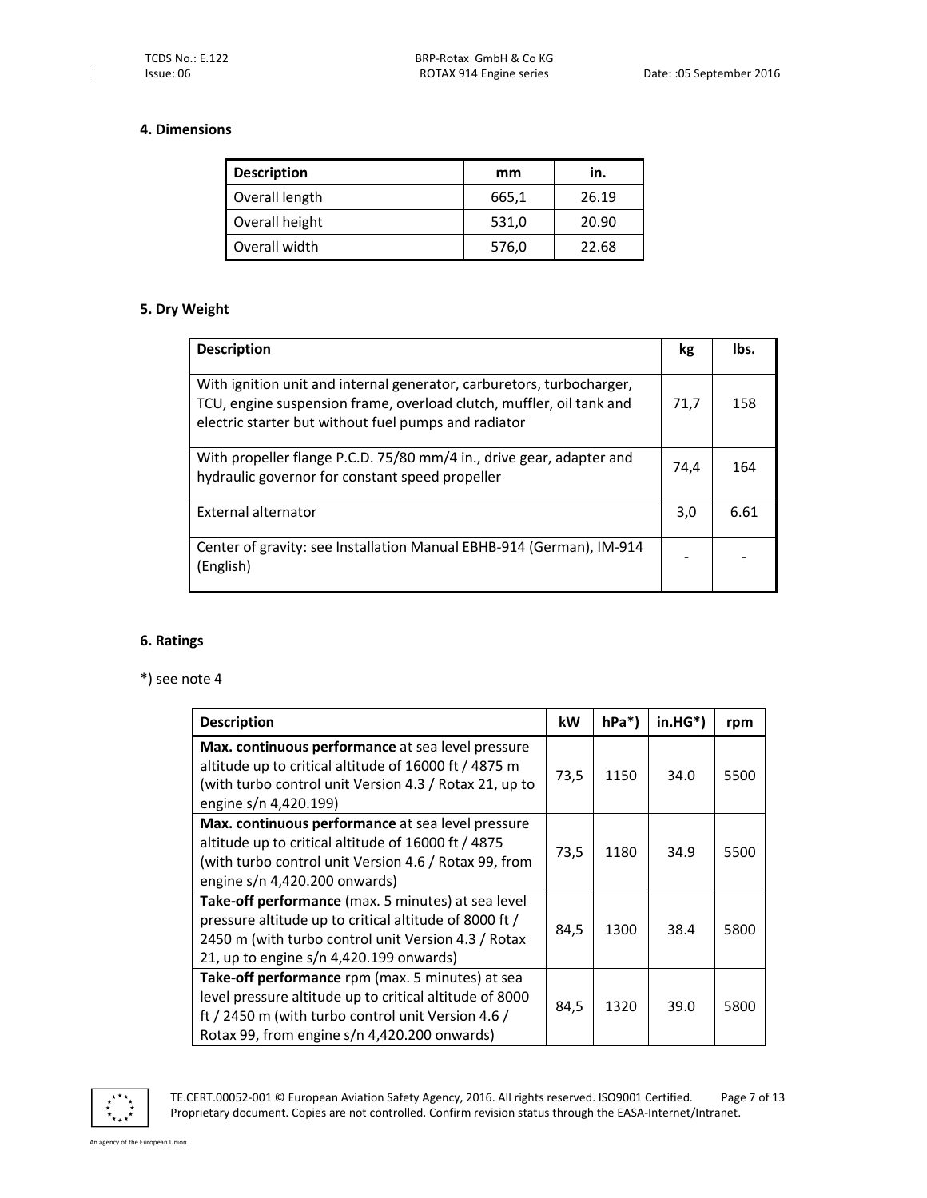$\mathbf{I}$ 

### **4. Dimensions**

| <b>Description</b> | mm    | in.   |
|--------------------|-------|-------|
| Overall length     | 665,1 | 26.19 |
| Overall height     | 531,0 | 20.90 |
| Overall width      | 576,0 | 22.68 |

### **5. Dry Weight**

| <b>Description</b>                                                                                                                                                                                    | kg   | lbs. |
|-------------------------------------------------------------------------------------------------------------------------------------------------------------------------------------------------------|------|------|
| With ignition unit and internal generator, carburetors, turbocharger,<br>TCU, engine suspension frame, overload clutch, muffler, oil tank and<br>electric starter but without fuel pumps and radiator | 71,7 | 158  |
| With propeller flange P.C.D. 75/80 mm/4 in., drive gear, adapter and<br>hydraulic governor for constant speed propeller                                                                               | 74,4 | 164  |
| External alternator                                                                                                                                                                                   | 3,0  | 6.61 |
| Center of gravity: see Installation Manual EBHB-914 (German), IM-914<br>(English)                                                                                                                     |      |      |

### **6. Ratings**

### \*) see note 4

| <b>Description</b>                                                                                                                                                                                                | kW   | $hPa*$ | $in.HG*$ ) | rpm  |
|-------------------------------------------------------------------------------------------------------------------------------------------------------------------------------------------------------------------|------|--------|------------|------|
| Max. continuous performance at sea level pressure<br>altitude up to critical altitude of 16000 ft / 4875 m<br>(with turbo control unit Version 4.3 / Rotax 21, up to<br>engine s/n 4,420.199)                     | 73.5 | 1150   | 34.0       | 5500 |
| Max. continuous performance at sea level pressure<br>altitude up to critical altitude of 16000 ft / 4875<br>(with turbo control unit Version 4.6 / Rotax 99, from<br>engine s/n 4,420.200 onwards)                | 73,5 | 1180   | 34.9       | 5500 |
| Take-off performance (max. 5 minutes) at sea level<br>pressure altitude up to critical altitude of 8000 ft /<br>2450 m (with turbo control unit Version 4.3 / Rotax<br>21, up to engine s/n 4,420.199 onwards)    | 84,5 | 1300   | 38.4       | 5800 |
| Take-off performance rpm (max. 5 minutes) at sea<br>level pressure altitude up to critical altitude of 8000<br>ft / 2450 m (with turbo control unit Version 4.6 /<br>Rotax 99, from engine s/n 4,420.200 onwards) | 84,5 | 1320   | 39.0       | 5800 |



TE.CERT.00052-001 © European Aviation Safety Agency, 2016. All rights reserved. ISO9001 Certified. Page 7 of 13 Proprietary document. Copies are not controlled. Confirm revision status through the EASA-Internet/Intranet.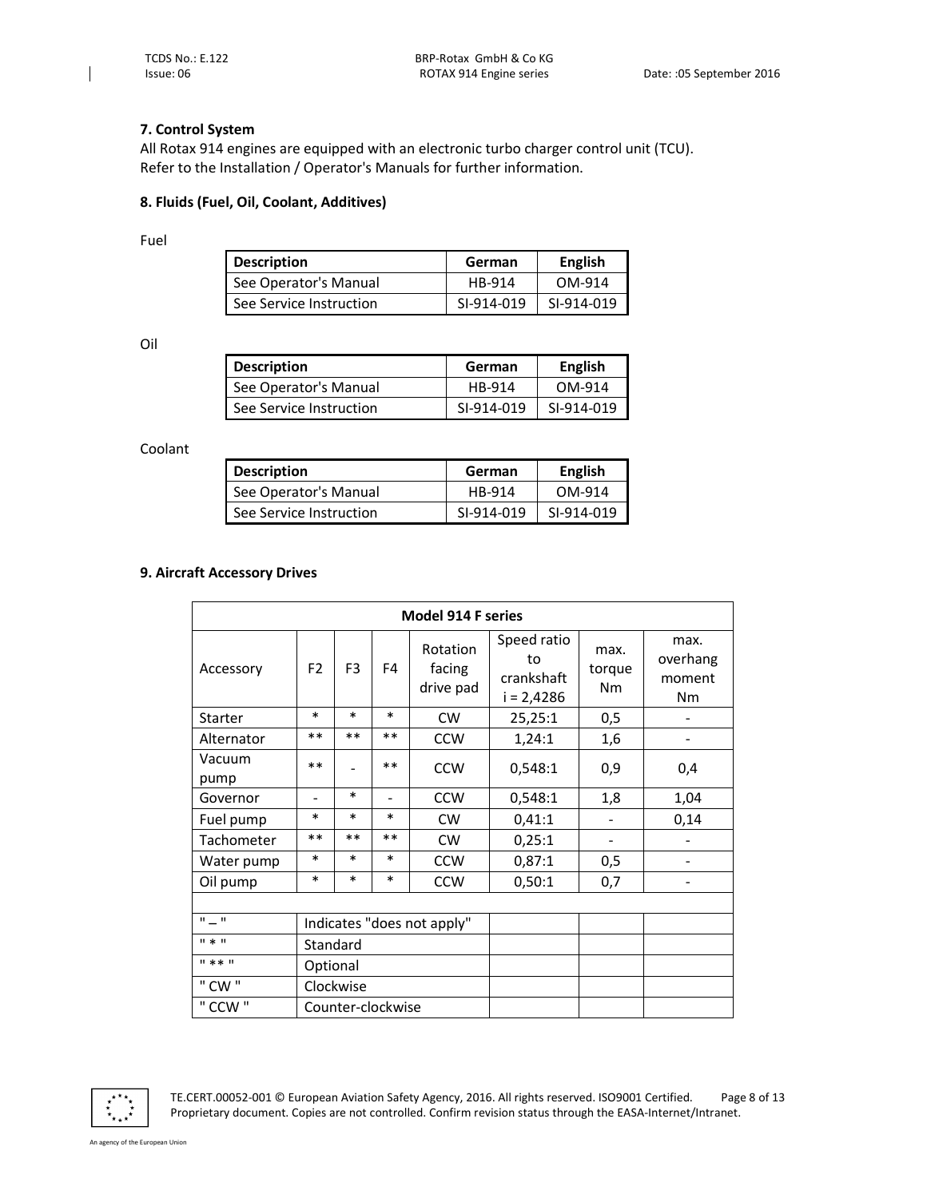### **7. Control System**

All Rotax 914 engines are equipped with an electronic turbo charger control unit (TCU). Refer to the Installation / Operator's Manuals for further information.

### **8. Fluids (Fuel, Oil, Coolant, Additives)**

Fuel

| <b>Description</b>      | German     | <b>English</b> |
|-------------------------|------------|----------------|
| See Operator's Manual   | HB-914     | OM-914         |
| See Service Instruction | SI-914-019 | SI-914-019     |

Oil

| <b>Description</b>      | German     | English    |
|-------------------------|------------|------------|
| See Operator's Manual   | HB-914     | OM-914     |
| See Service Instruction | SI-914-019 | SI-914-019 |

Coolant

| <b>Description</b>      | German     | English    |
|-------------------------|------------|------------|
| See Operator's Manual   | HB-914     | OM-914     |
| See Service Instruction | SI-914-019 | SI-914-019 |

### **9. Aircraft Accessory Drives**

| <b>Model 914 F series</b> |                            |                |                          |                                 |                                                 |                                  |                                         |
|---------------------------|----------------------------|----------------|--------------------------|---------------------------------|-------------------------------------------------|----------------------------------|-----------------------------------------|
| Accessory                 | F <sub>2</sub>             | F <sub>3</sub> | F4                       | Rotation<br>facing<br>drive pad | Speed ratio<br>to<br>crankshaft<br>$i = 2,4286$ | max.<br>torque<br>N <sub>m</sub> | max.<br>overhang<br>moment<br><b>Nm</b> |
| Starter                   | $\ast$                     | $\ast$         | $\ast$                   | <b>CW</b>                       | 25,25:1                                         | 0,5                              |                                         |
| Alternator                | **                         | $* *$          | $**$                     | <b>CCW</b>                      | 1,24:1                                          | 1,6                              |                                         |
| Vacuum<br>pump            | $**$                       |                | $**$                     | <b>CCW</b>                      | 0,548:1                                         | 0,9                              | 0,4                                     |
| Governor                  | $\blacksquare$             | $\ast$         | $\overline{\phantom{0}}$ | <b>CCW</b>                      | 0,548:1                                         | 1,8                              | 1,04                                    |
| Fuel pump                 | $\ast$                     | $\ast$         | $\ast$                   | <b>CW</b>                       | 0,41:1                                          |                                  | 0,14                                    |
| Tachometer                | **                         | $***$          | $**$                     | <b>CW</b>                       | 0,25:1                                          |                                  |                                         |
| Water pump                | $\ast$                     | $\ast$         | $\ast$                   | <b>CCW</b>                      | 0,87:1                                          | 0,5                              |                                         |
| Oil pump                  | $\ast$                     | $\ast$         | $\ast$                   | <b>CCW</b>                      | 0,50:1                                          | 0,7                              |                                         |
|                           |                            |                |                          |                                 |                                                 |                                  |                                         |
| $\mathbf{u} = \mathbf{u}$ | Indicates "does not apply" |                |                          |                                 |                                                 |                                  |                                         |
| <b>II * II</b>            | Standard                   |                |                          |                                 |                                                 |                                  |                                         |
| 11 米米 11                  | Optional                   |                |                          |                                 |                                                 |                                  |                                         |
| " CW "                    | Clockwise                  |                |                          |                                 |                                                 |                                  |                                         |
| " CCW "                   | Counter-clockwise          |                |                          |                                 |                                                 |                                  |                                         |



TE.CERT.00052-001 © European Aviation Safety Agency, 2016. All rights reserved. ISO9001 Certified. Page 8 of 13 Proprietary document. Copies are not controlled. Confirm revision status through the EASA-Internet/Intranet.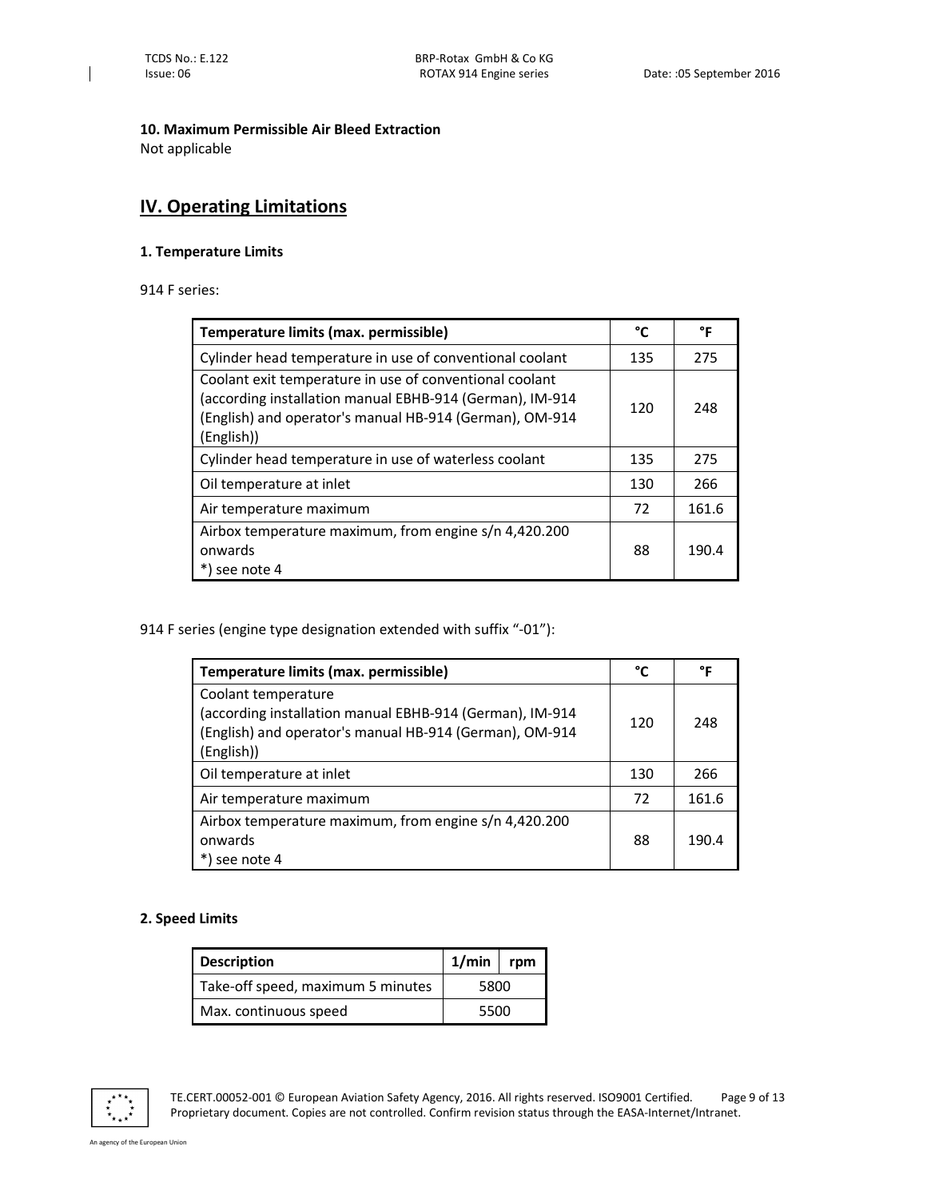# **10. Maximum Permissible Air Bleed Extraction**

Not applicable

# **IV. Operating Limitations**

### **1. Temperature Limits**

914 F series:

| Temperature limits (max. permissible)                                                                                                                                                        | °C  | °F    |
|----------------------------------------------------------------------------------------------------------------------------------------------------------------------------------------------|-----|-------|
| Cylinder head temperature in use of conventional coolant                                                                                                                                     | 135 | 275   |
| Coolant exit temperature in use of conventional coolant<br>(according installation manual EBHB-914 (German), IM-914<br>(English) and operator's manual HB-914 (German), OM-914<br>(English)) | 120 | 248   |
| Cylinder head temperature in use of waterless coolant                                                                                                                                        | 135 | 275   |
| Oil temperature at inlet                                                                                                                                                                     | 130 | 266   |
| Air temperature maximum                                                                                                                                                                      | 72  | 161.6 |
| Airbox temperature maximum, from engine s/n 4,420.200<br>onwards<br>*) see note 4                                                                                                            | 88  | 190.4 |

914 F series (engine type designation extended with suffix "-01"):

| Temperature limits (max. permissible)                                             | °C  | °F    |
|-----------------------------------------------------------------------------------|-----|-------|
| Coolant temperature<br>(according installation manual EBHB-914 (German), IM-914   | 120 | 248   |
| (English) and operator's manual HB-914 (German), OM-914<br>(English))             |     |       |
| Oil temperature at inlet                                                          | 130 | 266   |
| Air temperature maximum                                                           | 72  | 161.6 |
| Airbox temperature maximum, from engine s/n 4,420.200<br>onwards<br>*) see note 4 | 88  | 190.4 |

### **2. Speed Limits**

| <b>Description</b>                | $1/min$ rpm |  |
|-----------------------------------|-------------|--|
| Take-off speed, maximum 5 minutes | 5800        |  |
| Max. continuous speed             | 5500        |  |



TE.CERT.00052-001 © European Aviation Safety Agency, 2016. All rights reserved. ISO9001 Certified. Page 9 of 13 Proprietary document. Copies are not controlled. Confirm revision status through the EASA-Internet/Intranet.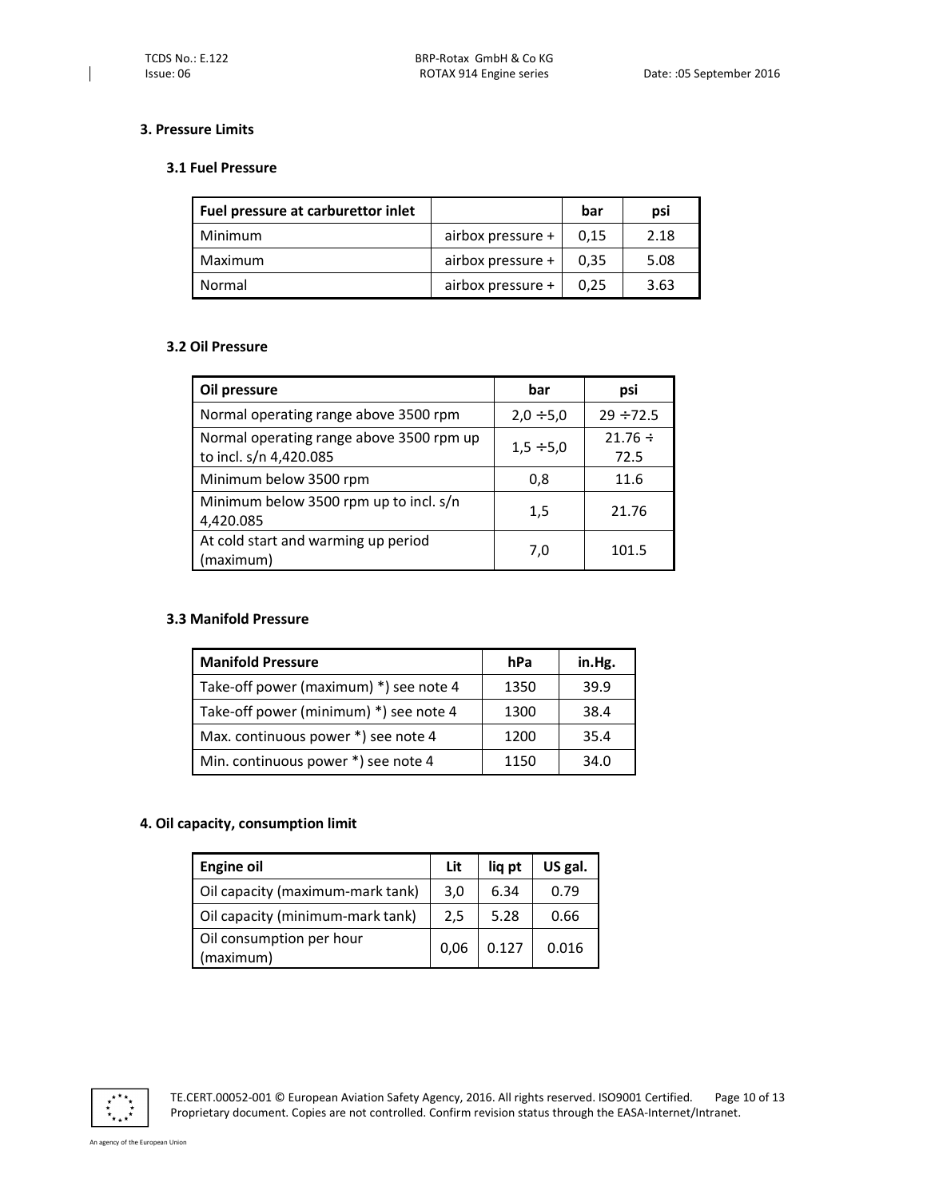### **3. Pressure Limits**

### **3.1 Fuel Pressure**

| Fuel pressure at carburettor inlet |                   | bar  | psi  |
|------------------------------------|-------------------|------|------|
| Minimum                            | airbox pressure + | 0.15 | 2.18 |
| Maximum                            | airbox pressure + | 0.35 | 5.08 |
| Normal                             | airbox pressure + | 0.25 | 3.63 |

### **3.2 Oil Pressure**

| Oil pressure                                                       | bar            | psi                  |
|--------------------------------------------------------------------|----------------|----------------------|
| Normal operating range above 3500 rpm                              | $2,0 \div 5,0$ | $29 \div 72.5$       |
| Normal operating range above 3500 rpm up<br>to incl. s/n 4,420.085 | $1,5 \div 5,0$ | $21.76 \div$<br>72.5 |
| Minimum below 3500 rpm                                             | 0,8            | 11.6                 |
| Minimum below 3500 rpm up to incl. s/n<br>4,420.085                | 1,5            | 21.76                |
| At cold start and warming up period<br>(maximum)                   | 7,0            | 101.5                |

### **3.3 Manifold Pressure**

| <b>Manifold Pressure</b>               | hPa  | in.Hg. |
|----------------------------------------|------|--------|
| Take-off power (maximum) *) see note 4 | 1350 | 39.9   |
| Take-off power (minimum) *) see note 4 | 1300 | 38.4   |
| Max. continuous power *) see note 4    | 1200 | 35.4   |
| Min. continuous power *) see note 4    | 1150 | 34.0   |

### **4. Oil capacity, consumption limit**

| <b>Engine oil</b>                     | Lit  | lig pt | US gal. |
|---------------------------------------|------|--------|---------|
| Oil capacity (maximum-mark tank)      | 3.0  | 6.34   | 0.79    |
| Oil capacity (minimum-mark tank)      | 2.5  | 5.28   | 0.66    |
| Oil consumption per hour<br>(maximum) | 0,06 | 0.127  | 0.016   |

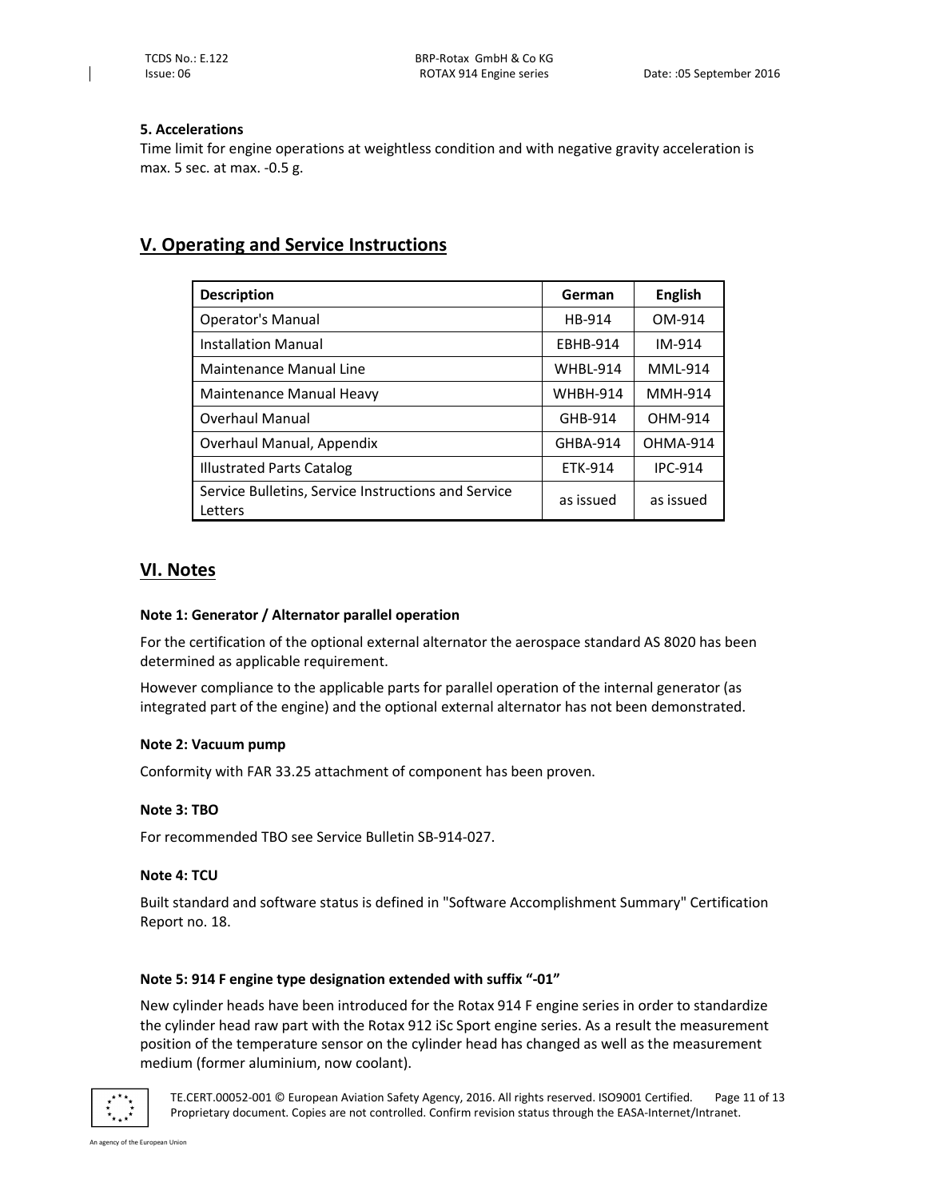### **5. Accelerations**

Time limit for engine operations at weightless condition and with negative gravity acceleration is max. 5 sec. at max. -0.5 g.

# **V. Operating and Service Instructions**

| <b>Description</b>                                             | German          | <b>English</b> |
|----------------------------------------------------------------|-----------------|----------------|
| <b>Operator's Manual</b>                                       | HB-914          | OM-914         |
| <b>Installation Manual</b>                                     | <b>EBHB-914</b> | $IM-914$       |
| Maintenance Manual Line                                        | <b>WHBL-914</b> | <b>MML-914</b> |
| Maintenance Manual Heavy                                       | <b>WHBH-914</b> | <b>MMH-914</b> |
| <b>Overhaul Manual</b>                                         | GHB-914         | OHM-914        |
| Overhaul Manual, Appendix                                      | GHBA-914        | OHMA-914       |
| Illustrated Parts Catalog                                      | <b>ETK-914</b>  | <b>IPC-914</b> |
| Service Bulletins, Service Instructions and Service<br>Letters | as issued       | as issued      |

### **VI. Notes**

### **Note 1: Generator / Alternator parallel operation**

For the certification of the optional external alternator the aerospace standard AS 8020 has been determined as applicable requirement.

However compliance to the applicable parts for parallel operation of the internal generator (as integrated part of the engine) and the optional external alternator has not been demonstrated.

### **Note 2: Vacuum pump**

Conformity with FAR 33.25 attachment of component has been proven.

### **Note 3: TBO**

For recommended TBO see Service Bulletin SB-914-027.

### **Note 4: TCU**

Built standard and software status is defined in "Software Accomplishment Summary" Certification Report no. 18.

### **Note 5: 914 F engine type designation extended with suffix "-01"**

New cylinder heads have been introduced for the Rotax 914 F engine series in order to standardize the cylinder head raw part with the Rotax 912 iSc Sport engine series. As a result the measurement position of the temperature sensor on the cylinder head has changed as well as the measurement medium (former aluminium, now coolant).



TE.CERT.00052-001 © European Aviation Safety Agency, 2016. All rights reserved. ISO9001 Certified. Page 11 of 13 Proprietary document. Copies are not controlled. Confirm revision status through the EASA-Internet/Intranet.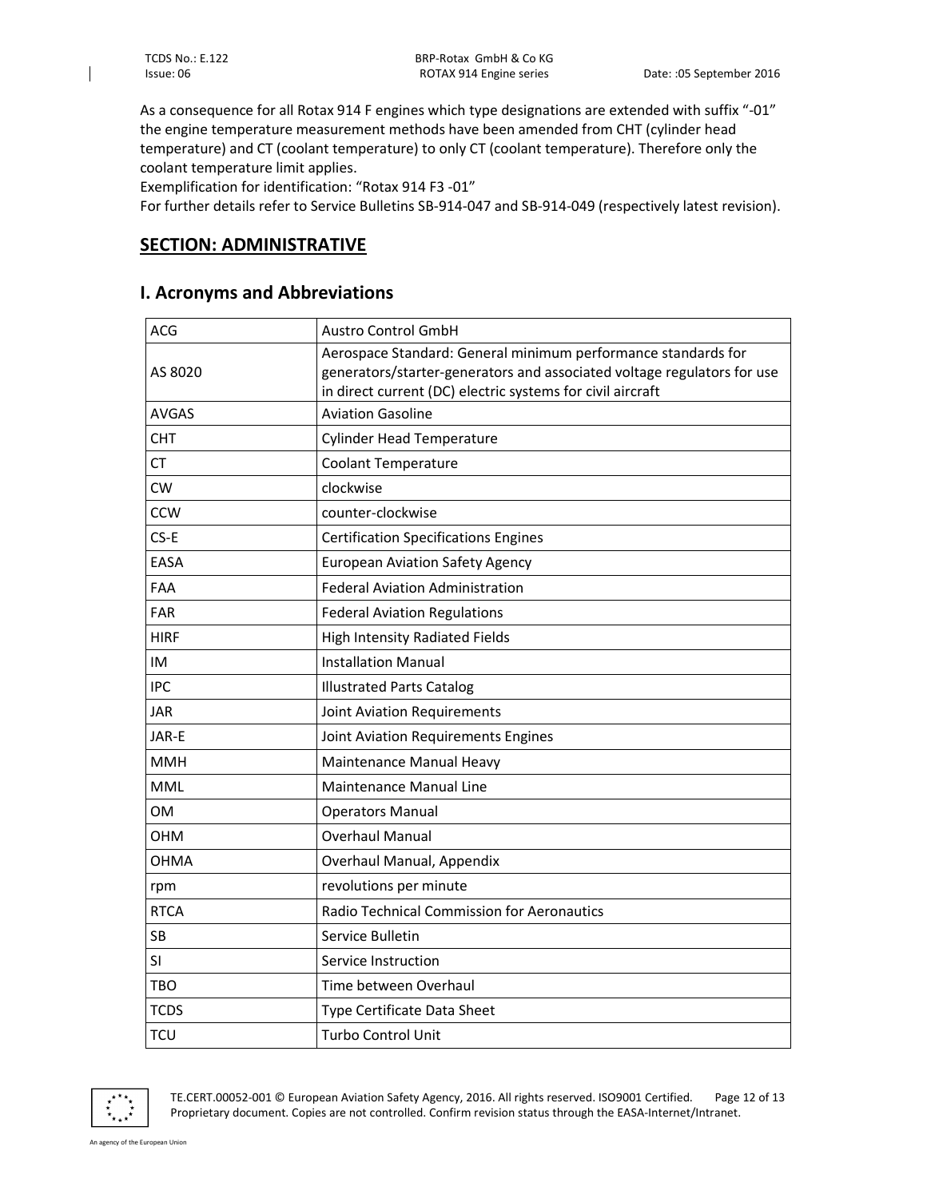As a consequence for all Rotax 914 F engines which type designations are extended with suffix "-01" the engine temperature measurement methods have been amended from CHT (cylinder head temperature) and CT (coolant temperature) to only CT (coolant temperature). Therefore only the coolant temperature limit applies.

Exemplification for identification: "Rotax 914 F3 -01"

For further details refer to Service Bulletins SB-914-047 and SB-914-049 (respectively latest revision).

# **SECTION: ADMINISTRATIVE**

## **I. Acronyms and Abbreviations**

| ACG          | <b>Austro Control GmbH</b>                                              |
|--------------|-------------------------------------------------------------------------|
|              | Aerospace Standard: General minimum performance standards for           |
| AS 8020      | generators/starter-generators and associated voltage regulators for use |
|              | in direct current (DC) electric systems for civil aircraft              |
| <b>AVGAS</b> | <b>Aviation Gasoline</b>                                                |
| CHT          | <b>Cylinder Head Temperature</b>                                        |
| <b>CT</b>    | <b>Coolant Temperature</b>                                              |
| <b>CW</b>    | clockwise                                                               |
| <b>CCW</b>   | counter-clockwise                                                       |
| CS-E         | <b>Certification Specifications Engines</b>                             |
| EASA         | <b>European Aviation Safety Agency</b>                                  |
| FAA          | <b>Federal Aviation Administration</b>                                  |
| <b>FAR</b>   | <b>Federal Aviation Regulations</b>                                     |
| <b>HIRF</b>  | <b>High Intensity Radiated Fields</b>                                   |
| IM           | <b>Installation Manual</b>                                              |
| <b>IPC</b>   | <b>Illustrated Parts Catalog</b>                                        |
| <b>JAR</b>   | <b>Joint Aviation Requirements</b>                                      |
| JAR-E        | Joint Aviation Requirements Engines                                     |
| <b>MMH</b>   | Maintenance Manual Heavy                                                |
| <b>MML</b>   | Maintenance Manual Line                                                 |
| OМ           | <b>Operators Manual</b>                                                 |
| <b>OHM</b>   | <b>Overhaul Manual</b>                                                  |
| <b>OHMA</b>  | Overhaul Manual, Appendix                                               |
| rpm          | revolutions per minute                                                  |
| <b>RTCA</b>  | <b>Radio Technical Commission for Aeronautics</b>                       |
| SB           | Service Bulletin                                                        |
| SI           | Service Instruction                                                     |
| TBO          | Time between Overhaul                                                   |
| <b>TCDS</b>  | Type Certificate Data Sheet                                             |
| <b>TCU</b>   | Turbo Control Unit                                                      |



TE.CERT.00052-001 © European Aviation Safety Agency, 2016. All rights reserved. ISO9001 Certified. Page 12 of 13 Proprietary document. Copies are not controlled. Confirm revision status through the EASA-Internet/Intranet.